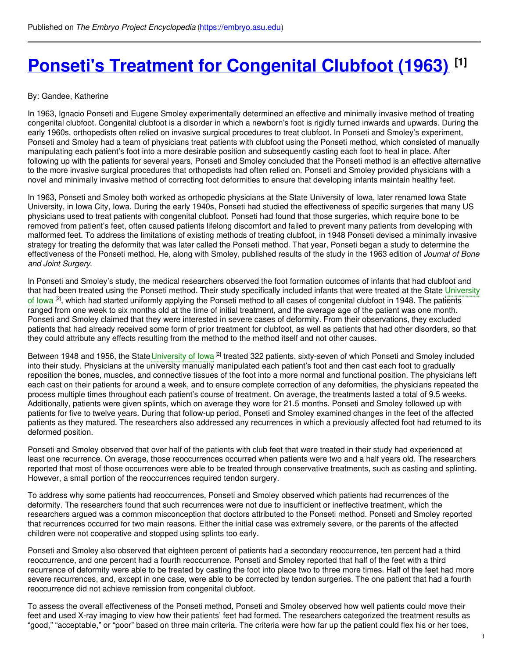# **Ponseti's Treatment for [Congenital](https://embryo.asu.edu/pages/ponsetis-treatment-congenital-clubfoot-1963) Clubfoot (1963) [1]**

#### By: Gandee, Katherine

In 1963, Ignacio Ponseti and Eugene Smoley experimentally determined an effective and minimally invasive method of treating congenital clubfoot. Congenital clubfoot is a disorder in which a newborn's foot is rigidly turned inwards and upwards. During the early 1960s, orthopedists often relied on invasive surgical procedures to treat clubfoot. In Ponseti and Smoley's experiment, Ponseti and Smoley had a team of physicians treat patients with clubfoot using the Ponseti method, which consisted of manually manipulating each patient's foot into a more desirable position and subsequently casting each foot to heal in place. After following up with the patients for several years, Ponseti and Smoley concluded that the Ponseti method is an effective alternative to the more invasive surgical procedures that orthopedists had often relied on. Ponseti and Smoley provided physicians with a novel and minimally invasive method of correcting foot deformities to ensure that developing infants maintain healthy feet.

In 1963, Ponseti and Smoley both worked as orthopedic physicians at the State University of Iowa, later renamed Iowa State University, in Iowa City, Iowa. During the early 1940s, Ponseti had studied the effectiveness of specific surgeries that many US physicians used to treat patients with congenital clubfoot. Ponseti had found that those surgeries, which require bone to be removed from patient's feet, often caused patients lifelong discomfort and failed to prevent many patients from developing with malformed feet. To address the limitations of existing methods of treating clubfoot, in 1948 Ponseti devised a minimally invasive strategy for treating the deformity that was later called the Ponseti method. That year, Ponseti began a study to determine the effectiveness of the Ponseti method. He, along with Smoley, published results of the study in the 1963 edition of *Journal of Bone and Joint Surgery*.

In Ponseti and Smoley's study, the medical researchers observed the foot formation outcomes of infants that had clubfoot and that had been treated using the Ponseti method. Their study [specifically](https://embryo.asu.edu/search?text=University%20of%20Iowa) included infants that were treated at the State University of lowa <sup>[2]</sup>, which had started uniformly applying the Ponseti method to all cases of congenital clubfoot in 1948. The patients ranged from one week to six months old at the time of initial treatment, and the average age of the patient was one month. Ponseti and Smoley claimed that they were interested in severe cases of deformity. From their observations, they excluded patients that had already received some form of prior treatment for clubfoot, as well as patients that had other disorders, so that they could attribute any effects resulting from the method to the method itself and not other causes.

Between 1948 and 1956, the State [University](https://embryo.asu.edu/search?text=University%20of%20Iowa) of lowa <sup>[2]</sup> treated 322 patients, sixty-seven of which Ponseti and Smoley included into their study. Physicians at the university manually manipulated each patient's foot and then cast each foot to gradually reposition the bones, muscles, and connective tissues of the foot into a more normal and functional position. The physicians left each cast on their patients for around a week, and to ensure complete correction of any deformities, the physicians repeated the process multiple times throughout each patient's course of treatment. On average, the treatments lasted a total of 9.5 weeks. Additionally, patients were given splints, which on average they wore for 21.5 months. Ponseti and Smoley followed up with patients for five to twelve years. During that follow-up period, Ponseti and Smoley examined changes in the feet of the affected patients as they matured. The researchers also addressed any recurrences in which a previously affected foot had returned to its deformed position.

Ponseti and Smoley observed that over half of the patients with club feet that were treated in their study had experienced at least one recurrence. On average, those reoccurrences occurred when patients were two and a half years old. The researchers reported that most of those occurrences were able to be treated through conservative treatments, such as casting and splinting. However, a small portion of the reoccurrences required tendon surgery.

To address why some patients had reoccurrences, Ponseti and Smoley observed which patients had recurrences of the deformity. The researchers found that such recurrences were not due to insufficient or ineffective treatment, which the researchers argued was a common misconception that doctors attributed to the Ponseti method. Ponseti and Smoley reported that recurrences occurred for two main reasons. Either the initial case was extremely severe, or the parents of the affected children were not cooperative and stopped using splints too early.

Ponseti and Smoley also observed that eighteen percent of patients had a secondary reoccurrence, ten percent had a third reoccurrence, and one percent had a fourth reoccurrence. Ponseti and Smoley reported that half of the feet with a third recurrence of deformity were able to be treated by casting the foot into place two to three more times. Half of the feet had more severe recurrences, and, except in one case, were able to be corrected by tendon surgeries. The one patient that had a fourth reoccurrence did not achieve remission from congenital clubfoot.

To assess the overall effectiveness of the Ponseti method, Ponseti and Smoley observed how well patients could move their feet and used X-ray imaging to view how their patients' feet had formed. The researchers categorized the treatment results as "good," "acceptable," or "poor" based on three main criteria. The criteria were how far up the patient could flex his or her toes,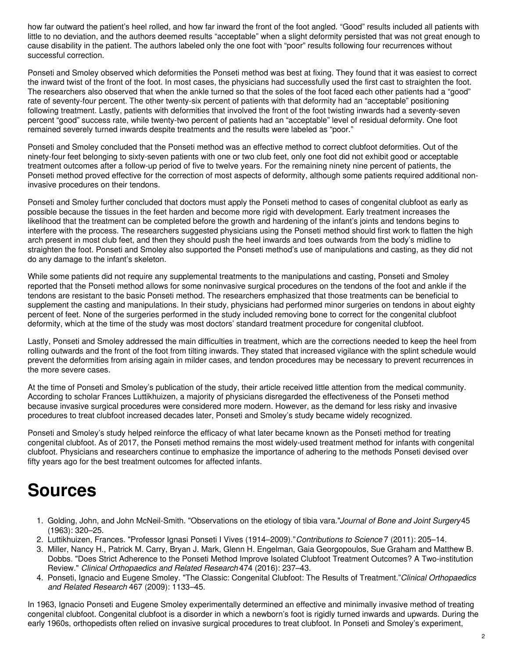how far outward the patient's heel rolled, and how far inward the front of the foot angled. "Good" results included all patients with little to no deviation, and the authors deemed results "acceptable" when a slight deformity persisted that was not great enough to cause disability in the patient. The authors labeled only the one foot with "poor" results following four recurrences without successful correction.

Ponseti and Smoley observed which deformities the Ponseti method was best at fixing. They found that it was easiest to correct the inward twist of the front of the foot. In most cases, the physicians had successfully used the first cast to straighten the foot. The researchers also observed that when the ankle turned so that the soles of the foot faced each other patients had a "good" rate of seventy-four percent. The other twenty-six percent of patients with that deformity had an "acceptable" positioning following treatment. Lastly, patients with deformities that involved the front of the foot twisting inwards had a seventy-seven percent "good" success rate, while twenty-two percent of patients had an "acceptable" level of residual deformity. One foot remained severely turned inwards despite treatments and the results were labeled as "poor."

Ponseti and Smoley concluded that the Ponseti method was an effective method to correct clubfoot deformities. Out of the ninety-four feet belonging to sixty-seven patients with one or two club feet, only one foot did not exhibit good or acceptable treatment outcomes after a follow-up period of five to twelve years. For the remaining ninety nine percent of patients, the Ponseti method proved effective for the correction of most aspects of deformity, although some patients required additional noninvasive procedures on their tendons.

Ponseti and Smoley further concluded that doctors must apply the Ponseti method to cases of congenital clubfoot as early as possible because the tissues in the feet harden and become more rigid with development. Early treatment increases the likelihood that the treatment can be completed before the growth and hardening of the infant's joints and tendons begins to interfere with the process. The researchers suggested physicians using the Ponseti method should first work to flatten the high arch present in most club feet, and then they should push the heel inwards and toes outwards from the body's midline to straighten the foot. Ponseti and Smoley also supported the Ponseti method's use of manipulations and casting, as they did not do any damage to the infant's skeleton.

While some patients did not require any supplemental treatments to the manipulations and casting, Ponseti and Smoley reported that the Ponseti method allows for some noninvasive surgical procedures on the tendons of the foot and ankle if the tendons are resistant to the basic Ponseti method. The researchers emphasized that those treatments can be beneficial to supplement the casting and manipulations. In their study, physicians had performed minor surgeries on tendons in about eighty percent of feet. None of the surgeries performed in the study included removing bone to correct for the congenital clubfoot deformity, which at the time of the study was most doctors' standard treatment procedure for congenital clubfoot.

Lastly, Ponseti and Smoley addressed the main difficulties in treatment, which are the corrections needed to keep the heel from rolling outwards and the front of the foot from tilting inwards. They stated that increased vigilance with the splint schedule would prevent the deformities from arising again in milder cases, and tendon procedures may be necessary to prevent recurrences in the more severe cases.

At the time of Ponseti and Smoley's publication of the study, their article received little attention from the medical community. According to scholar Frances Luttikhuizen, a majority of physicians disregarded the effectiveness of the Ponseti method because invasive surgical procedures were considered more modern. However, as the demand for less risky and invasive procedures to treat clubfoot increased decades later, Ponseti and Smoley's study became widely recognized.

Ponseti and Smoley's study helped reinforce the efficacy of what later became known as the Ponseti method for treating congenital clubfoot. As of 2017, the Ponseti method remains the most widely-used treatment method for infants with congenital clubfoot. Physicians and researchers continue to emphasize the importance of adhering to the methods Ponseti devised over fifty years ago for the best treatment outcomes for affected infants.

## **Sources**

- 1. Golding, John, and John McNeil-Smith. "Observations on the etiology of tibia vara."*Journal of Bone and Joint Surgery*45 (1963): 320–25.
- 2. Luttikhuizen, Frances. "Professor Ignasi Ponseti I Vives (1914–2009)."*Contributions to Science* 7 (2011): 205–14.
- 3. Miller, Nancy H., Patrick M. Carry, Bryan J. Mark, Glenn H. Engelman, Gaia Georgopoulos, Sue Graham and Matthew B. Dobbs. "Does Strict Adherence to the Ponseti Method Improve Isolated Clubfoot Treatment Outcomes? A Two-institution Review." *Clinical Orthopaedics and Related Research* 474 (2016): 237–43.
- 4. Ponseti, Ignacio and Eugene Smoley. "The Classic: Congenital Clubfoot: The Results of Treatment."*Clinical Orthopaedics and Related Research* 467 (2009): 1133–45.

In 1963, Ignacio Ponseti and Eugene Smoley experimentally determined an effective and minimally invasive method of treating congenital clubfoot. Congenital clubfoot is a disorder in which a newborn's foot is rigidly turned inwards and upwards. During the early 1960s, orthopedists often relied on invasive surgical procedures to treat clubfoot. In Ponseti and Smoley's experiment,